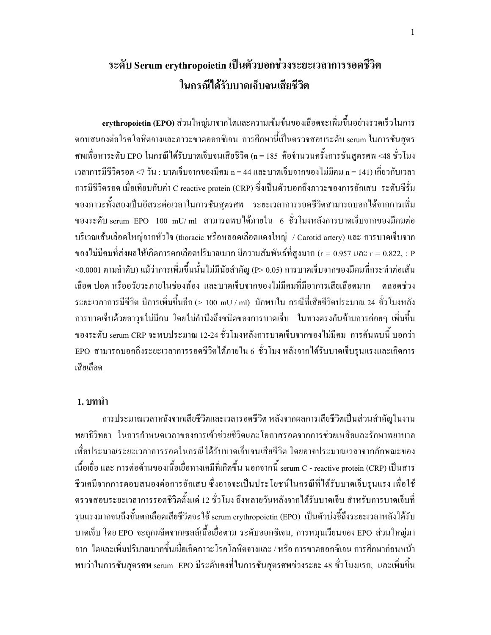# ระดับ Serum erythropoietin เป็นตัวบอกช่วงระยะเวลาการรอดชีวิต ในกรณีได้รับบาดเจ็บจนเสียชีวิต

erythropoietin (EPO) ส่วนใหญ่มาจากไตและความเข้มข้นของเลือดจะเพิ่มขึ้นอย่างรวดเร็วในการ ตอบสนองต่อโรคโลหิตจางและภาวะขาดออกซิเจน การศึกษานี้เป็นตรวจสอบระดับ serum ในการชันสูตร ศพเพื่อหาระดับ EPO ในกรณีได้รับบาดเจ็บจนเสียชีวิต (n = 185 คือจำนวนครั้งการชันสูตรศพ <48 ชั่วโมง เวลาการมีชีวิตรอค <7 วัน : บาคเจ็บจากของมีคม n = 44 และบาคเจ็บจากของไม่มีคม n = 141) เกี่ยวกับเวลา การมีชีวิตรอด เมื่อเทียบกับค่า C reactive protein (CRP) ซึ่งเป็นตัวบอกถึงภาวะของการอักเสบ ระดับซีรั่ม ของภาวะทั้งสองเป็นอิสระต่อเวลาในการชันสูตรศพ ระยะเวลาการรอคชีวิตสามารถบอกได้จากการเพิ่ม ของระดับ serum EPO 100 mU/ ml สามารถพบได้ภายใน 6 ชั่วโมงหลังการบาดเจ็บจากของมีคมต่อ บริเวณเส้นเลือดใหญ่จากหัวใจ (thoracic หรือหลอดเลือดแดงใหญ่ / Carotid artery) และ การบาดเจ็บจาก ของไม่มีคมที่ส่งผลให้เกิดการตกเลือดปริมาณมาก มีความสัมพันธ์ที่สูงมาก (r = 0.957 และ r = 0.822, : P <0.0001 ตามลำดับ) แม้ว่าการเพิ่มขึ้นนั้น ไม่มีนัยสำคัญ (P> 0.05) การบาดเจ็บจากของมีคมที่กระทำต่อเส้น เลือด ปอด หรืออวัยวะภายในช่องท้อง และบาดเจ็บจากของไม่มีคมที่มีอาการเสียเลือดมาก ตลอดช่วง ระยะเวลาการมีชีวิต มีการเพิ่มขึ้นอีก (> 100 mU / ml) มักพบใน กรณีที่เสียชีวิตประมาณ 24 ชั่วโมงหลัง การบาคเจ็บด้วยอาวุธไม่มีคม โดยไม่คำนึงถึงชนิดของการบาคเจีบ ในทางตรงกันข้ามการค่อยๆ เพิ่มขึ้น ของระดับ serum CRP จะพบประมาณ 12-24 ชั่วโมงหลังการบาดเจ็บจากของใม่มีคม การค้นพบนี้ บอกว่า EPO สามารถบอกถึงระยะเวลาการรอคชีวิตใค้ภายใน 6 ชั่วโมง หลังจากใค้รับบาคเจ็บรุนแรงและเกิดการ เสียเลือด

### 1. บทนำ

การประมาณเวลาหลังจากเสียชีวิตและเวลารอดชีวิต หลังจากผลการเสียชีวิตเป็นส่วนสำคัญในงาน พยาธิวิทยา ในการกำหนดเวลาของการเข้าช่วยชีวิตและโอกาสรอคจากการช่วยเหลือและรักษาพยาบาล เพื่อประมาณระยะเวลาการรอคในกรณีใค้รับบาคเจ็บจนเสียชีวิต โคยอาจประมาณเวลาจากลักษณะของ เนื้อเยื่อ และ การต่อต้านของเนื้อเยื่อทางเคมีที่เกิดขึ้น นอกจากนี้ serum C - reactive protein (CRP) เป็นสาร ชีวเคมีจากการตอบสนองต่อการอักเสบ ซึ่งอาจจะเป็นประโยชน์ในกรณีที่ได้รับบาดเจ็บรุนแรง เพื่อใช้ ตรวจสอบระยะเวลาการรอคชีวิตตั้งแต่ 12 ชั่วโมง ถึงหลายวันหลังจากได้รับบาดเจ็บ สำหรับการบาดเจ็บที่ รุนแรงมากจนถึงขั้นตกเลือดเสียชีวิตจะใช้ serum erythropoietin (EPO) เป็นตัวบ่งชี้ถึงระยะเวลาหลังใค้รับ บาคเจ็บ โคย EPO จะถูกผลิตจากเซลล์เนื้อเยื่อตาม ระดับออกซิเจน, การหมุนเวียนของ EPO ส่วนใหญ่มา จาก ใตและเพิ่มปริมาณมากขึ้นเมื่อเกิดภาวะ โรคโลหิตจางและ / หรือ การขาดออกซิเจน การศึกษาก่อนหน้า พบว่าในการชันสูตรศพ serum EPO มีระคับคงที่ในการชันสูตรศพช่วงระยะ 48 ชั่วโมงแรก, และเพิ่มขึ้น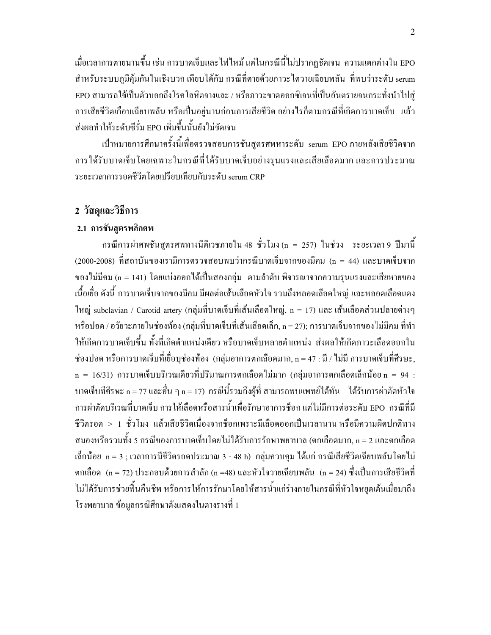้เมื่อเวลาการตายนานขึ้น เช่น การบาดเจ็บและไฟไหม้ แต่ในกรณีนี้ไม่ปรากฎชัดเจน ความแตกต่างใน EPO สำหรับระบบภมิค้มกันในเชิงบวก เทียบได้กับ กรณีที่ตายด้วยภาวะไตวายเฉียบพลัน ที่พบว่าระดับ serum EPO สามารถใช้เป็นตัวบอกถึงโรคโลหิตจางและ / หรือภาวะขาดออกซิเจนที่เป็นอันตรายจนกระทั่งนำไปส่ การเสียชีวิตเกือบเฉียบพลัน หรือเป็นอยู่นานก่อนการเสียชีวิต อย่างไรก็ตามกรณีที่เกิดการบาดเจ็บ แล้ว ส่งผลทำให้ระดับซีรั่ม EPO เพิ่มขึ้นนั้นยังไม่ชัดเจน

้เป้าหมายการศึกษาครั้งนี้เพื่อตรวจสอบการชันสูตรศพหาระดับ serum EPO ภายหลังเสียชีวิตจาก ึการได้รับบาดเจ็บโดยเฉพาะในกรณีที่ได้รับบาดเจ็บอย่างรุนแรงและเสียเลือดมาก และการประมาณ ระยะเวลาการรอดชีวิตโดยเปรียบเทียบกับระดับ serum CRP

# 2 วัสดุและวิธีการ

## 2.1 การชันสูตรพลิกศพ

ี กรณีการผ่าศพชันสูตรศพทางนิติเวชภายใน 48 ชั่วโมง (n = 257) ในช่วง ระยะเวลา 9 ปีมานี้ (2000-2008) ที่สถาบันของเรามีการตรวจสอบพบว่ากรณีบาดเจ็บจากของมีคม (n = 44) และบาดเจ็บจาก ของไม่มีคม (n = 141) โดยแบ่งออกได้เป็นสองกลุ่ม ตามลำดับ พิจารณาจากความรุนแรงและเสียหายของ ้เนื้อเยื่อ ดังนี้ การบาดเจ็บจากของมีคม มีผลต่อเส้นเลือดหัวใจ รวมถึงหลอดเลือดใหญ่ และหลอดเลือดแดง ใหญ่ subclavian / Carotid artery (กลุ่มที่บาดเจ็บที่เส้นเลือดใหญ่, n = 17) และ เส้นเลือดส่วนปลายต่างๆ หรือปอด / อวัยวะภายในช่องท้อง (กลุ่มที่บาดเจ็บที่เส้นเลือดเล็ก, n = 27); การบาดเจ็บจากของไม่มีคม ที่ทำ ให้เกิดการบาดเจ็บขึ้น ทั้งที่เกิดตำแหน่งเดียว หรือบาดเจ็บหลายตำแหน่ง ส่งผลให้เกิดภาวะเลือดออกใน ช่องปอด หรือการบาดเจ็บที่เยื่อบุช่องท้อง (กลุ่มอาการตกเลือดมาก, n = 47 : มี / ใม่มี การบาดเจ็บที่ศีรษะ,  $\,$ n = 16/31) การบาดเจ็บบริเวณเดียวที่ปริมาณการตกเลือดไม่มาก (กลุ่มอาการตกเลือดเล็กน้อย $\,$ n = 94 : บาดเจ็บที่ศีรษะ n = 77 และอื่น ๆ n = 17) กรณีนี้รวมถึงผู้ที่ สามารถพบแพทย์ใด้ทัน ได้รับการผ่าตัดหัวใจ การผ่าตัดบริเวณที่บาดเจ็บ การให้เลือดหรือสารน้ำเพื่อรักษาอาการช็อก แต่ไม่มีการต่อระดับ EPO กรณีที่มี ชีวิตรอด > 1 ชั่วโมง แล้วเสียชีวิตเนื่องจากชื่อกเพราะมีเลือดออกเป็นเวลานาน หรือมีความผิดปกติทาง สมองหรือรวมทั้ง 5 กรณีของการบาดเจ็บโดยไม่ได้รับการรักษาพยาบาล (ตกเลือดมาก, n = 2 และตกเลือด เล็กน้อย n = 3 ; เวลาการมีชีวิตรอดประมาณ 3 - 48 h) กลุ่มควบคุม ได้แก่ กรณีเสียชีวิตเฉียบพลันโดยไม่ ตกเลือด (n = 72) ประกอบด้วยการสำลัก (n =48) และหัวใจวายเฉียบพลัน (n = 24) ซึ่งเป็นการเสียชีวิตที่ ไม่ได้รับการช่วยฟื้นคืนชีพ หรือการให้การรักษาโดยให้สารน้ำแก่ร่างกายในกรณีที่หัวใจหยดเต้นเมื่อมาถึง โรงพยาบาล ข้อมลกรณีศึกษาดังแสดงในตางรางที่ 1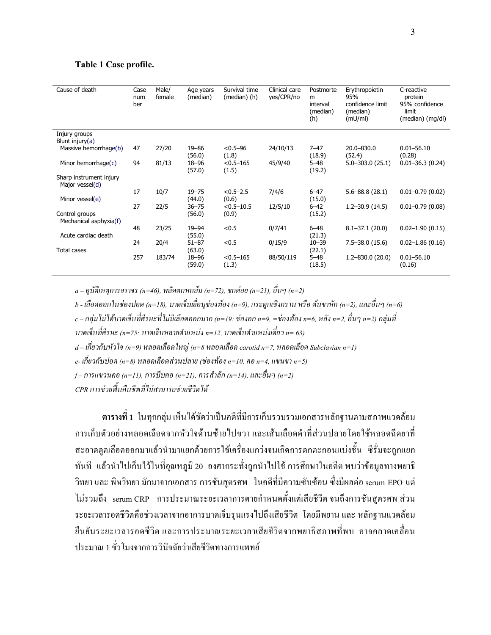#### Table 1 Case profile.

| Cause of death                             | Case<br>num<br>ber | Male/<br>female | Age years<br>(median)     | Survival time<br>(median) (h) | Clinical care<br>yes/CPR/no | Postmorte<br>m<br>interval<br>(median)<br>(h) | Erythropoietin<br>95%<br>confidence limit<br>(median)<br>(mU/ml) | C-reactive<br>protein<br>95% confidence<br>limit<br>(median) (mg/dl) |
|--------------------------------------------|--------------------|-----------------|---------------------------|-------------------------------|-----------------------------|-----------------------------------------------|------------------------------------------------------------------|----------------------------------------------------------------------|
| Injury groups<br>Blunt injury $(a)$        |                    |                 |                           |                               |                             |                                               |                                                                  |                                                                      |
| Massive hemorrhage(b)                      | 47                 | 27/20           | $19 - 86$<br>(56.0)       | $< 0.5 - 96$<br>(1.8)         | 24/10/13                    | $7 - 47$<br>(18.9)                            | 20.0-830.0<br>(52.4)                                             | $0.01 - 56.10$<br>(0.28)                                             |
| Minor hemorrhage $(c)$                     | 94                 | 81/13           | $18 - 96$<br>(57.0)       | $< 0.5 - 165$<br>(1.5)        | 45/9/40                     | $5 - 48$<br>(19.2)                            | $5.0 - 303.0$ (25.1)                                             | $0.01 - 36.3(0.24)$                                                  |
| Sharp instrument injury<br>Major vessel(d) |                    |                 |                           |                               |                             |                                               |                                                                  |                                                                      |
| Minor vessel(e)                            | 17                 | 10/7            | $19 - 75$<br>(44.0)       | $< 0.5 - 2.5$<br>(0.6)        | 7/4/6                       | $6 - 47$<br>(15.0)                            | $5.6 - 88.8$ (28.1)                                              | $0.01 - 0.79(0.02)$                                                  |
|                                            | 27                 | 22/5            | $36 - 75$                 | $< 0.5 - 10.5$                | 12/5/10                     | $6 - 42$                                      | $1.2 - 30.9$ (14.5)                                              | $0.01 - 0.79(0.08)$                                                  |
| Control groups<br>Mechanical asphyxia(f)   |                    |                 | (56.0)                    | (0.9)                         |                             | (15.2)                                        |                                                                  |                                                                      |
| Acute cardiac death                        | 48                 | 23/25           | $19 - 94$<br>(55.0)       | < 0.5                         | 0/7/41                      | $6 - 48$<br>(21.3)                            | $8.1 - 37.1(20.0)$                                               | $0.02 - 1.90(0.15)$                                                  |
|                                            | 24                 | 20/4            | $51 - 87$                 | < 0.5                         | 0/15/9                      | $10 - 39$                                     | $7.5 - 38.0(15.6)$                                               | $0.02 - 1.86(0.16)$                                                  |
| Total cases                                | 257                | 183/74          | (63.0)<br>18-96<br>(59.0) | $< 0.5 - 165$<br>(1.3)        | 88/50/119                   | (22.1)<br>$5 - 48$<br>(18.5)                  | $1.2 - 830.0$ (20.0)                                             | $0.01 - 56.10$<br>(0.16)                                             |

 $a-$ อุบัติเหตุการจราจร (n=46), พลัคตกหกล้ม (n=72), ชกต่อย (n=21), อื่นๆ (n=2)

b - เลือดออกในช่องปอด (n=18), บาดเจ็บเยื่อบุช่องท้อง (n=9), กระดูกเชิงกราน หรือ ต้นขาหัก (n=2), และอื่นๆ (n=6)

 $c$  – กลุ่มไม่ได้บาดเจ็บที่ศีรษะที่ไม่มีเลือดออกมาก (n=19: ช่องอก n=9, =ช่องท้อง n=6, หลัง n=2, อื่นๆ n=2) กลุ่มที่

บาคเจ็บที่ศีรษะ (n=75: บาคเจ็บหลายตำแหน่ง n=12, บาคเจ็บตำแหน่งเคี่ยว n= 63)

 $d$  – เกี่ยวกับหัวใจ (n=9) หลอคเลือคใหญ่ (n=8 หลอคเลือค carotid n=7, หลอคเลือค Subclavian n=1)

 $\it e$ - เกี่ยวกับปอด (n=8) หลอดเลือดส่วนปลาย (ช่องท้อง n=10, กอ n=4, แขนขา n=5)

 $f$ – การแขวนคอ (n=11), การบีบคอ (n=21), การสำลัก (n=14), และอื่นๆ (n=2)

CPR การช่วยฟื้นคืนชีพที่ไม่สามารถช่วยชีวิตได้

ตารางที่ 1 ในทุกกลุ่ม เห็นได้ชัดว่าเป็นกดีที่มีการเก็บรวบรวมเอกสารหลักฐานตามสภาพแวดล้อม การเก็บตัวอย่างหลอดเลือดจากหัวใจด้านซ้ายไปขวา และเส้นเลือดดำที่ส่วนปลายโดยใช้หลอดฉีดยาที่ สะอาดดูดเลือดออกมาแล้วนำมาแยกด้วยการใช้เครื่องแกว่งจนเกิดการตกตะกอนแบ่งชั้น ซีรั่มจะถูกแยก ทันที แล้วนำไปเก็บไว้ในที่อุณหภูมิ 20 องศากระทั่งถูกนำไปใช้ การศึกษาในอดีต พบว่าข้อมูลทางพยาธิ วิทยา และ พิษวิทยา มักมาจากเอกสาร การชันสูตรศพ ในคดีที่มีความซับซ้อน ซึ่งมีผลต่อ serum EPO แต่ ไม่รวมถึง serum CRP การประมาณระยะเวลาการตายกำหนดตั้งแต่เสียชีวิต จนถึงการชันสูตรศพ ส่วน ระยะเวลารอคชีวิตคือช่วงเวลาจากอาการบาคเจ็บรุนแรงไปถึงเสียชีวิต โคยมีพยาน และ หลักฐานแวคล้อม ขึ้นยันระยะเวลารอคชีวิต และการประมาณระยะเวลาเสียชีวิตจากพยาธิสภาพที่พบ อาจกลาคเกลื่อน ประมาณ 1 ชั่วโมงจากการวินิจฉัยว่าเสียชีวิตทางการแพทย์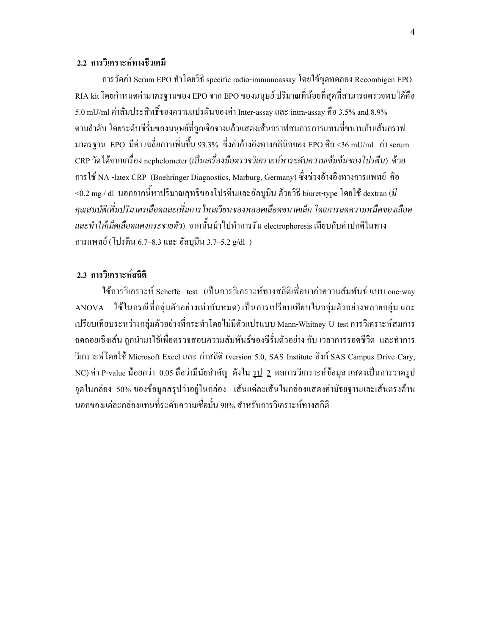### 2.2 การวิเคราะห์ทางชีวเคมี

การวัดค่า Serum EPO ทำโดยวิธี specific radio-immunoassay โดยใช้ชุดทดลอง Recombigen EPO RIA kit โดยกำหนดค่ามาตรฐานของ EPO จาก EPO ของมนุษย์ ปริมาณที่น้อยที่สุดที่สามารถตรวจพบได้คือ 5.0 mU/mI ค่าสัมประสิทธิ์ของความแปรผันของค่า Inter-assay และ intra-assay คือ 3.5% and 8.9% ตามลำดับ โดยระดับซีรั่มของมนุษย์ที่ถูกเจือจางแล้วแสดงเส้นกราฟสมการการแทนที่ขนานกับเส้นกราฟ มาตรฐาน EPO มีก่า เฉลี่ยการเพิ่มขึ้น 93.3% ซึ่งก่าอ้างอิงทางกลินิกของ EPO คือ <36 mU/ml ก่า serum CRP วัดใด้จากเครื่อง nephelometer (เป็นเครื่องมือตรวจวิเคราะห์หาระดับความเข้มข้นของโปรตีน) ด้วย การใช้ NA -latex CRP (Boehringer Diagnostics, Marburg, Germany) ซึ่งช่วงอ้างอิงทางการแพทย์ คือ <0.2 mg / dl นอกจากนี้หาปริมาณสุทธิของโปรตีนและอัลบูมิน ด้วยวิธี biuret-type โดยใช้ dextran (มี คุณสมบัติเพิ่มปริมาตรเลือดและเพิ่มการ ใหลเวียนของหลอดเลือดขนาดเล็ก โดยการลดความหนืดของเลือด และทำให้เม็คเลือคแคงกระจายตัว) จากนั้นนำไปทำการรัน electrophoresis เทียบกับค่าปกติในทาง การแพทย์์ (โปรตีน 6.7–8.3 และ อัลบูมิน 3.7–5.2 g/dl )

### 2.3 การวิเคราะห์สถิติ

ใช้การวิเคราะห์ Scheffe test (เป็นการวิเคราะห์ทางสถิติเพื่อหาค่าความสัมพันธ์ แบบ one-way  $\bf ANOVA-1$ ช้ในกรณีที่กลุ่มตัวอย่างเท่ากันหมด) เป็นการเปรียบเทียบในกลุ่มตัวอย่างหลายกลุ่ม และ เปรียบเทียบระหว่างกลุ่มตัวอย่างที่กระทำโดยใม่มีตัวแปรแบบ Mann-Whitney U test การวิเคราะห์สมการ ถคถอยเชิงเส้น ถูกนำมาใช้เพื่อตรวจสอบความสัมพันธ์ของซีรั่มตัวอย่าง กับ เวลาการรอคชีวิต และทำการ วิเคราะห์โดยใช้ Microsoft Excel และ ค่าสถิติ (version 5.0, SAS Institute อิงค์ SAS Campus Drive Cary, NC) ค่า P-value น้อยกว่า 0.05 ถือว่ามีนัยสำคัญ ดังใน <u>รูป 2</u> ผลการวิเคราะห์ข้อมูล แสดงเป็นการวาดรูป จุดในกล่อง 50% ของข้อมูลสรุปว่าอยู่ในกล่อง เส้นแต่ละเส้นในกล่องแสดงค่ามัธยฐานและเส้นตรงด้าน นอกของแต่ละกล่องแทนที่ระดับความเชื่อมั่น 90% สำหรับการวิเคราะห์ทางสถิติ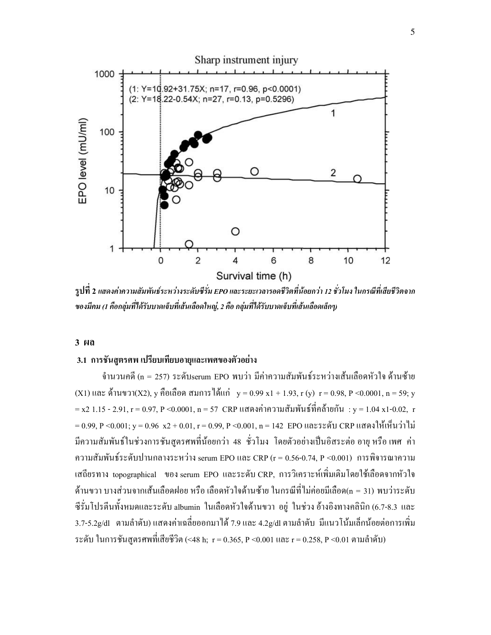

รูปที่ 2 แสดงค่าความสัมพันธ์ระหว่างระดับซีรั่ม EPO และระยะเวลารอดชีวิตที่น้อยกว่า 12 ชั่วโมง ในกรณีที่เสียชีวิตจาก ของมีคม (1 คือกลุ่มที่ได้รับบาดเจ็บที่เส้นเลือดใหญ่, 2 คือ กลุ่มที่ได้รับบาดเจ็บที่เส้นเลือดเล็กๆ)

#### $3<sub>th</sub>$

#### 3.1 การชั้นสูตรศพ เปรียบเทียบอายุและเพศของตัวอย่าง

จำนวนคดี (n = 257) ระดับserum EPO พบว่า มีค่าความสัมพันธ์ระหว่างเส้นเลือดหัวใจ ด้านซ้าย (X1) และ ด้านขวา(X2), y คือเลือด สมการได้แก่ y = 0.99 x1 + 1.93, r (y) r = 0.98, P < 0.0001, n = 59; y = x2 1.15 - 2.91, r = 0.97, P < 0.0001, n = 57  $\,$  CRP แสดงค่าความสัมพันธ์ที่คล้ายกัน $\,$  : y = 1.04 x1-0.02,  $\,$ r = 0.99, P < 0.001; y = 0.96 x2 + 0.01, r = 0.99, P < 0.001, n = 142 EPO และระดับ CRP แสดงให้เห็นว่าไม่ ้มีความสัมพันธ์ในช่วงการชันสูตรศพที่น้อยกว่า 48 ชั่วโมง โดยตัวอย่างเป็นอิสระต่อ อายุ หรือ เพศ ค่า ความสัมพันธ์ระดับปานกลางระหว่าง serum EPO และ CRP (r = 0.56-0.74, P <0.001) การพิจารณาความ เสถียรทาง topographical ของ serum EPO และระดับ CRP, การวิเคราะห์เพิ่มเติมโดยใช้เลือดจากหัวใจ ด้านขวา บางส่วนจากเส้นเลือดฝอย หรือ เลือดหัวใจด้านซ้าย ในกรณีที่ไม่ค่อยมีเลือด(n = 31) พบว่าระดับ ซีรั่มโปรตีนทั้งหมดและระดับ albumin ในเลือดหัวใจด้านขวา อยู่ ในช่วง อ้างอิงทางคลินิก (6.7-8.3 และ 3.7-5.2g/dl ตามลำดับ) แสดงค่าเฉลี่ยออกมาได้ 7.9 และ 4.2g/dl ตามลำดับ มีแนวโน้มเล็กน้อยต่อการเพิ่ม ระดับ ในการชั้นสูตรศพที่เสียชีวิต (<48 h; r = 0.365, P <0.001 และ r = 0.258, P <0.01 ตามลำดับ)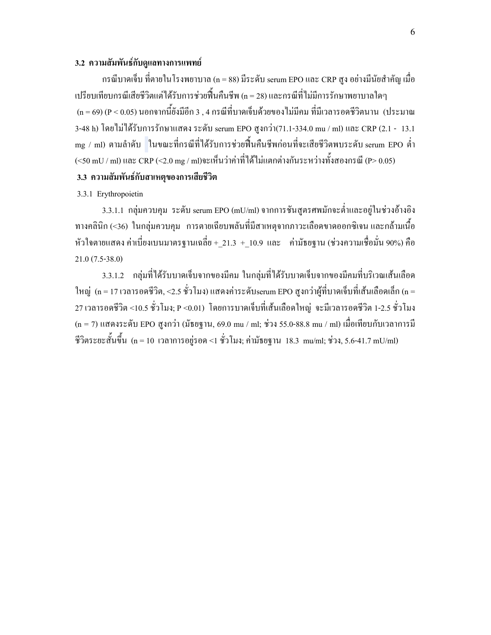### 3.2 ความสัมพันธ์กับดูแลทางการแพทย์

กรณีบาดเจ็บ ที่ตายในโรงพยาบาล (n = 88) มีระดับ serum EPO และ CRP สูง อย่างมีนัยสำคัญ เมื่อ เปรียบเทียบกรณีเสียชีวิตแต่ได้รับการช่วยฟื้นคืนชีพ (n = 28) และกรณีที่ไม่มีการรักษาพยาบาลใดๆ  $(n = 69)$  (P < 0.05) นอกจากนี้ยังมีอีก 3 , 4 กรณีที่บาดเจ็บด้วยของไม่มีคม ที่มีเวลารอดชีวิตนาน (ประมาณ 3-48 h) โดยใม่ได้รับการรักษาแสดง ระดับ serum EPO สูงกว่า(71.1-334.0 mu / ml) และ CRP (2.1 - 13.1 mg / ml) ตามลำดับ ในขณะที่กรณีที่ได้รับการช่วยฟื้นคืนชีพก่อนที่จะเสียชีวิตพบระดับ serum EPO ต่ำ (<50 mU / ml) และ CRP (<2.0 mg / ml)จะเห็นว่าค่าที่ได้ใม่แตกต่างกันระหว่างทั้งสองกรณี (P> 0.05)

# 3.3 ความสัมพันธ์กับสาเหตุของการเสียชีวิต

### 3.3.1 Erythropoietin

3.3.1.1 กลุ่มควบคุม ระดับ serum EPO (mU/ml) จากการชันสูตรศพมักจะต่ำและอยู่ในช่วงอ้างอิง ทางคลินิก (<36) ในกลุ่มควบกุม การตายเฉียบพลันที่มีสาเหตุจากภาวะเลือดขาดออกซิเจน และกล้ามเนื้อ หัวใจตายแสดง ค่าเบี่ยงเบนมาตรฐานเฉลี่ย +\_21.3 +\_10.9 และ ค่ามัธยฐาน (ช่วงความเชื่อมั่น 90%) คือ 21.0 (7.5-38.0)

3.3.1.2 กลุ่มที่ได้รับบาดเจ็บจากของมีคม ในกลุ่มที่ได้รับบาดเจ็บจากของมีคมที่บริเวณเส้นเลือด ใหญ่ (n = 17 เวลารอคชีวิต, <2.5 ชั่วโมง) แสดงค่าระดับserum EPO สูงกว่าผู้ที่บาดเจ็บที่เส้นเลือดเล็ก (n = 27 เวลารอคชีวิต <10.5 ชั่วโมง; P <0.01) โดยการบาดเจ็บที่เส้นเลือดใหญ่ จะมีเวลารอคชีวิต 1-2.5 ชั่วโมง (n = 7) แสดงระดับ EPO สูงกว่า (มัธยฐาน, 69.0 mu / ml; ช่วง 55.0-88.8 mu / ml) เมื่อเทียบกับเวลาการมี ชีวิตระยะสั้นขึ้น (n = 10 เวลาการอยู่รอด <1 ชั่วโมง; ค่ามัธยฐาน 18.3 mu/ml; ช่วง, 5.6-41.7 mU/ml)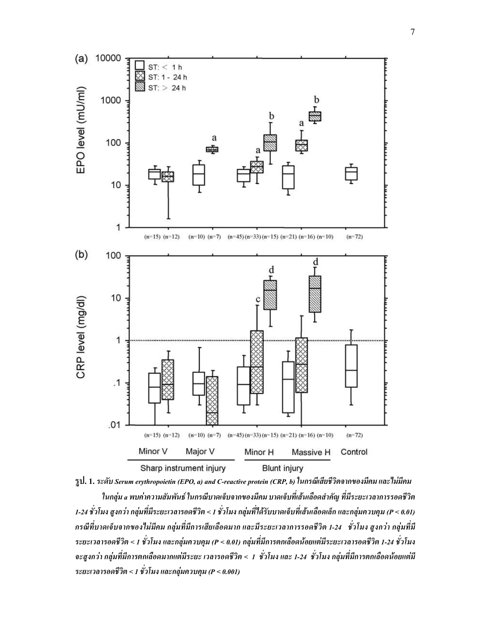

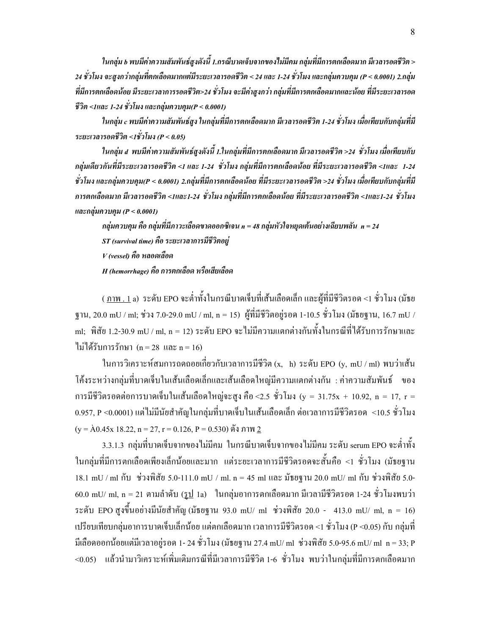ในกลุ่ม ь พบมีค่าความสัมพันธ์สูงดังนี้ 1.กรณีบาดเจ็บจากของไม่มีคม กลุ่มที่มีการตกเลือดมาก มีเวลารอดชีวิต >  $\ddot{\phantom{0}}$ 24 ชั่วโมง จะสูงกว่ากลุ่มที่ตกเลือดมากแต่มีระยะเวลารอดชีวิต < 24 และ 1-24 ชั่วโมง และกลุ่มควบคุม (P < 0.0001) 2.กลุ่ม ที่มีการตกเลือดน้อย มีระยะเวลาการรอดชีวิต>24 ชั่วโมง จะมีค่าสูงกว่า กลุ่มที่มีการตกเลือดมากและน้อย ที่มีระยะเวลารอด ชีวิต <1และ 1-24 ชั่วโมง และกลุ่มควบคุม(P < 0.0001)

ในกลุ่ม c พบมีค่าความสัมพันธ์สูง ในกลุ่มที่มีการตกเลือดมาก มีเวลารอดชีวิต 1-24 ชั่วโมง เมื่อเทียบกับกลุ่มที่มี  $\ddot{\phantom{0}}$ ระยะเวลารอดชีวิต <1ชั่วโมง (P < 0.05)

ในกลุ่ม a พบมีค่าความสัมพันธ์สูงดังนี้ 1.ในกลุ่มที่มีการตกเลือดมาก มีเวลารอดชีวิต >24 ชั่วโมง เมื่อเทียบกับ  $\ddot{\phantom{0}}$ กลุ่มเดียวกันที่มีระยะเวลารอดชีวิต <1 และ 1-24 ชั่วโมง กลุ่มที่มีการตกเลือดน้อย ที่มีระยะเวลารอดชีวิต <1และ 1-24 ชั่วโมง และกลุ่มควบคุม(P < 0.0001) 2.กลุ่มที่มีการตกเลือดน้อย ที่มีระยะเวลารอดชีวิต >24 ชั่วโมง เมื่อเทียบกับกลุ่มที่มี การตกเลือดมาก มีเวลารอดชีวิต <1และ1-24 ชั่วโมง กลุ่มที่มีการตกเลือดน้อย ที่มีระยะเวลารอดชีวิต <1และ1-24 ชั่วโมง และกลุ่มควบคุม ( $P < 0.0001$ )

กลุ่มควบคุม คือ กลุ่มที่มีภาวะเลือดขาดออกซิเจน n = 48 กลุ่มหัวใจหยุดเต้นอย่างเฉียบพลัน n = 24  $ST$  (survival time) คือ ระยะเวลาการมีชีวิตอยู่  $V$ (vessel) คือ หลอดเลือด H (hemorrhage) คือ การตกเลือด หรือเสียเลือด

( <u>ภาพ . 1</u> a) ระดับ EPO จะต่ำทั้งในกรณีบาดเจ็บที่เส้นเลือดเล็ก และผู้ที่มีชีวิตรอด <1 ชั่วโมง (มัธย ฐาน, 20.0 mU / ml; ช่วง 7.0-29.0 mU / ml, n = 15) ผู้ที่มีชีวิตอยู่รอด 1-10.5 ชั่วโมง (มัธยฐาน, 16.7 mU / ml; พิสัย 1.2-30.9 mU / ml, n = 12) ระดับ EPO จะ ไม่มีความแตกต่างกันทั้งในกรณีที่ได้รับการรักษาและ ไม่ได้รับการรักษา (n = 28 และ n = 16)

ในการวิเคราะห์สมการถคถอยเกี่ยวกับเวลาการมีชีวิต (x, h) ระดับ EPO (y, mU / ml) พบว่าเส้น โค้งระหว่างกลุ่มที่บาดเจ็บในเส้นเลือดเล็กและเส้นเลือดใหญ่มีกวามแตกต่างกัน : ก่ากวามสัมพันธ์ ของ การมีชีวิตรอดต่อการบาดเจ็บในเส้นเลือดใหญ่จะสูง คือ <2.5 ชั่วโมง (y = 31.75x + 10.92, n = 17, r =  $0.957,$  P <0.0001) แต่ไม่มีนัยสำคัญในกลุ่มที่บาดเจ็บในเส้นเลือดเล็ก ต่อเวลาการมีชีวิตรอด  $\,$ <10.5 ชั่วโมง  $(y = \overline{A}0.45x\ 18.22, n = 27, r = 0.126, P = 0.530)$  ดัง ภาพ <u>2</u>

3.3.1.3 กลุ่มที่บาคเจ็บจากของใม่มีคม ในกรณีบาคเจ็บจากของใม่มีคม ระดับ serum EPO จะต่ำทั้ง ในกลุ่มที่มีการตกเลือดเพียงเล็กน้อยและมาก แต่ระยะเวลาการมีชีวิตรอดจะสั้นคือ <1 ชั่วโมง (มัธยฐาน  $18.1 \text{ mU/m}$ 1 กับ ช่วงพิสัย 5.0-111.0 mU / ml. n = 45 ml และ มัธยฐาน 20.0 mU/ ml กับ ช่วงพิสัย 5.0- $60.0$  mU/ ml, n = 21 ตามลำดับ (รู<u>ป</u> 1a) ในกลุ่มอาการตกเลือดมาก มีเวลามีชีวิตรอด 1-24 ชั่วโมงพบว่า ระดับ EPO สูงขึ้นอย่างมีนัยสำคัญ (มัธยฐาน 93.0 mU/ ml ช่วงพิสัย 20.0 - 413.0 mU/ ml, n = 16) เปรียบเทียบกลุ่มอาการบาดเจ็บเล็กน้อย แต่ตกเลือดมาก เวลาการมีชีวิตรอด <1 ชั่วโมง (P <0.05) กับ กลุ่มที่ มีเลือดออกน้อยแต่มีเวลาอยู่รอด 1- 24 ชั่วโมง (มัธยฐาน 27.4 mU/ ml ช่วงพิสัย 5.0-95.6 mU/ ml n = 33; P  $\,$ <0.05) = X  6(C( (  (1( 1-6 1+# " ^ C( (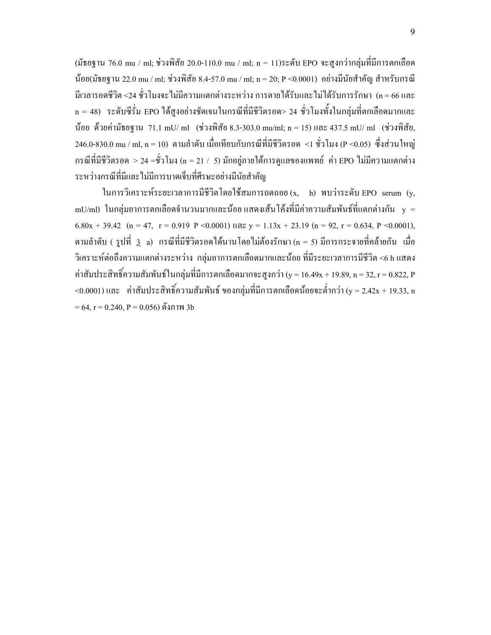(มัธยฐาน 76.0 mu / ml; ช่วงพิสัย 20.0-110.0 mu / ml; n = 11)ระดับ EPO จะสูงกว่ากลุ่มที่มีการตกเลือด น้อย(มัธยฐาน 22.0 mu / ml; ช่วงพิสัย 8.4-57.0 mu / ml; n = 20; P <0.0001) อย่างมีนัยสำคัญ สำหรับกรณี มีเวลารอดชีวิต <24 ชั่วโมงจะไม่มีความแตกต่างระหว่าง การตายได้รับและไม่ได้รับการรักษา (n = 66 และ ' n = 48) ระดับซีรั่ม EPO ใด้สูงอย่างชัดเจนในกรณีที่มีชีวิตรอด> 24 ชั่วโมงทั้งในกลุ่มที่ตกเลือดมากและ น้อย ด้วยค่ามัธยฐาน 71.1 mU/ ml (ช่วงพิสัย 8.3-303.0 mu/ml; n = 15) และ 437.5 mU/ ml (ช่วงพิสัย, 246.0-830.0 mu / ml, n = 10) ตามลำดับ เมื่อเทียบกับกรณีที่มีชีวิตรอด <1 ชั่วโมง (P <0.05) ซึ่งส่วนใหญ่  6(C( (1( > 24 =1+# (n = 21 / 5) +2\$  2CX EPO 
 (  ระหว่างกรณีที่มีและไม่มีการบาดเจ็บที่ศีรษะอย่างมีนัยสำคัญ

ในการวิเคราะห์ระยะเวลาการมีชีวิตโดยใช้สมการถดถอย $(\mathrm{x},\phantom{x})$  พบว่าระดับ EPO  $\,$  serum  $\,$  (y $,\,$ mU/ml) ในกลุ่มอาการตกเลือดจำนวนมากและน้อย แสดงเส้นโค้งที่มีค่าความสัมพันธ์ที่แตกต่างกัน  $\,$  y  $\,$  =  $\,$  $6.80x + 39.42$  (n = 47, r = 0.919 P < 0.0001)  $\ln 2x = 1.13x + 23.19$  (n = 92, r = 0.634, P < 0.0001), ตามลำดับ ( รูปที่ <u>3</u> a) กรณีที่มีชีวิตรอดได้นานโดยไม่ต้องรักษา (n = 5) มีการกระจายที่คล้ายกัน เมื่อ วิเคราะห์ต่อถึงความแตกต่างระหว่าง กลุ่มอาการตกเลือดมากและน้อย ที่มีระยะเวลาการมีชีวิต <6 h แสดง ค่าสัมประสิทธิ์ความสัมพันธ์ในกลุ่มที่มีการตกเลือดมากจะสูงกว่า (y = 16.49x + 19.89, n = 32, r = 0.822, P <0.0001) และ ค่าสัมประสิทธิ์ความสัมพันธ์ ของกลุ่มที่มีการตกเลือดน้อยจะต่ำกว่า (y = 2.42x + 19.33, n  $\,$  $= 64$ , r  $= 0.240$ , P  $= 0.056$ ) คั้งภาพ 3b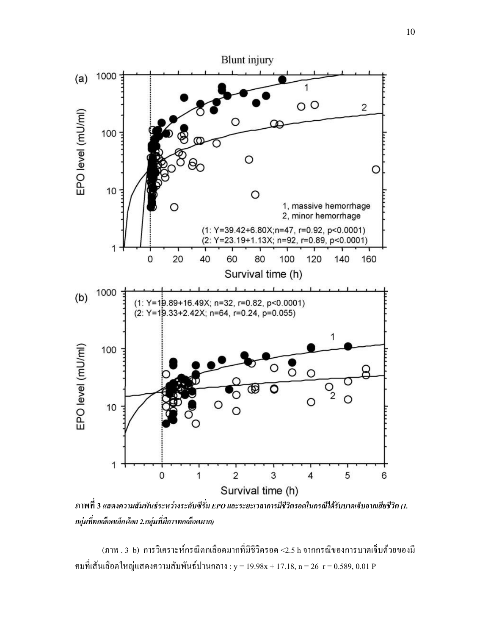

ภาพที่ 3 แสดงความสัมพันธ์ระหว่างระดับซีรั่ม EPO และระยะเวลาการมีชีวิตรอดในกรณีได้รับบาดเจ็บจากเสียชีวิต (1. ึกลุ่มที่ตกเลือดเล็กน้อย 2.กลุ่มที่มีการตกเลือดมาก)

<u>(ภาพ . 3</u> b) การวิเคราะห์กรณีตกเลือดมากที่มีชีวิตรอด <2.5 h จากกรณีของการบาดเจ็บด้วยของมี คมที่เส้นเลือดใหญ่แสดงความสัมพันธ์ปานกลาง : y = 19.98x + 17.18, n = 26 r = 0.589, 0.01 P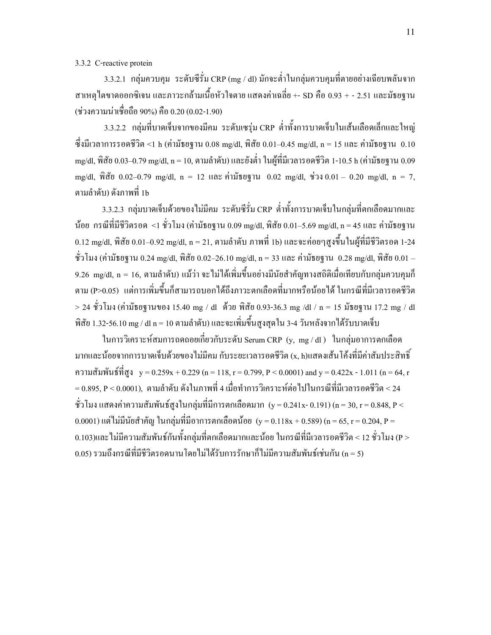### 3.3.2 C-reactive protein

 $3.3.2.1$  กลุ่มควบคุม ระดับซีรั่ม $\rm\,CRP\,(mg$  / dl) มักจะต่ำในกลุ่มควบคุมที่ตายอย่างเฉียบพลันจาก สาเหตุใตบาดออกซิเจน และภาวะกล้ามเนื้อหัวใจตาย แสดงค่าเฉลี่ย +- SD คือ 0.93 + - 2.51 และมัธยฐาน (ช่วงความน่าเชื่อถือ 90%) คือ 0.20 (0.02-1.90)

3.3.2.2 กลุ่มที่บาคเจ็บจากของมีคม ระดับเซรุ่ม CRP ต่ำทั้งการบาคเจ็บในเส้นเลือดเล็กและใหญ่ ซึ่งมีเวลาการรอดชีวิต <1 h (ค่ามัธยฐาน 0.08 mg/dl, พิสัย 0.01–0.45 mg/dl, n = 15 และ ค่ามัธยฐาน 0.10  $\,$ mg/dl, พิสัย 0.03–0.79 mg/dl, n = 10, ตามลำดับ) และยังต่ำ ในผู้ที่มีเวลารอดชีวิต 1-10.5 h (ค่ามัธยฐาน 0.09 mg/dl, พิสัย 0.02–0.79 mg/dl, n = 12 และ ค่ามัธยฐาน 0.02 mg/dl, ช่วง 0.01 – 0.20 mg/dl, n = 7, ตามลำดับ) ดังภาพที่ 1b

3.3.2.3 กลุ่มบาดเจ็บด้วยของไม่มีคม ระดับซีรั่ม $\, {\rm CRP} \,$  ต่ำทั้งการบาดเจ็บในกลุ่มที่ตกเลือดมากและ น้อย กรณีที่มีชีวิตรอด <1 ชั่วโมง (ค่ามัธยฐาน 0.09 mg/dl, พิสัย 0.01–5.69 mg/dl, n = 45 และ ค่ามัธยฐาน  $0.12 \; \rm{mg/dl}, \, \widehat{\eta}$ สัย  $0.01–0.92 \; \rm{mg/dl}, \, n = 21, \,$ ตามลำดับ ภาพที่ 1b) และจะค่อยๆสูงขึ้นในผู้ที่มีชีวิตรอด 1-24 ชั่วโมง (ค่ามัธยฐาน 0.24 mg/dl, พิสัย 0.02–26.10 mg/dl, n = 33 และ ค่ามัธยฐาน 0.28 mg/dl, พิสัย 0.01 – 9.26 mg/dl, n = 16, ตามลำดับ) แม้ว่า จะไม่ได้เพิ่มขึ้นอย่างมีนัยสำคัญทางสถิติเมื่อเทียบกับกลุ่มควบคุมก็ ตาม (P>0.05) แต่การเพิ่มขึ้นกีฬามารถบอกได้ถึงภาวะตกเลือดที่มากหรือน้อยได้ ในกรณีที่มีเวลารอดชีวิต  $>$  24 ชั่วโมง (ค่ามัธยฐานของ 15.40 mg / dl คั่วย พิสัย 0.93-36.3 mg /dl / n = 15 มัธยฐาน 17.2 mg / dl พิสัย 1.32-56.10 mg / dl n = 10 ตามลำดับ) และจะเพิ่มขึ้นสูงสุดใน 3-4 วันหลังจากใด้รับบาดเจ็บ

ในการวิเคราะห์สมการถคถอยเกี่ยวกับระดับ Serum CRP (y, mg / dl ) ในกลุ่มอาการตกเลือด มากและน้อยจากการบาดเจ็บด้วยของไม่มีคม กับระยะเวลารอดชีวิต (x, h)แสดงเส้น โค้งที่มีค่าสัมประสิทธิ์ ความสัมพันธ์ที่สูง y = 0.259x + 0.229 (n = 118, r = 0.799, P < 0.0001) and y = 0.422x - 1.011 (n = 64, r = 0.895, P < 0.0001), ตามลำดับ ดังในภาพที่ 4 เมื่อทำการวิเคราะห์ต่อไปในกรณีที่มีเวลารอดชีวิต < 24 ชั่วโมง แสดงก่ากวามสัมพันธ์สูงในกลุ่มที่มีการตกเลือดมาก (y = 0.241x- 0.191) (n = 30, r = 0.848, P <  $0.0001$ ) แต่ไม่มีนัยสำคัญ ในกลุ่มที่มีอาการตกเลือดน้อย (y =  $0.118 \mathrm{x} + 0.589$ ) (n = 65, r =  $0.204$ , P =  $0.103$ )และ ไม่มีความสัมพันธ์กันทั้งกลุ่มที่ตกเลือดมากและน้อย ในกรณีที่มีเวลารอดชีวิต < 12 ชั่วโมง (P >  $0.0$ 5) รวมถึงกรณีที่มีชีวิตรอคนานโดยไม่ได้รับการรักษาก็ไม่มีความสัมพันธ์เช่นกัน (n = 5)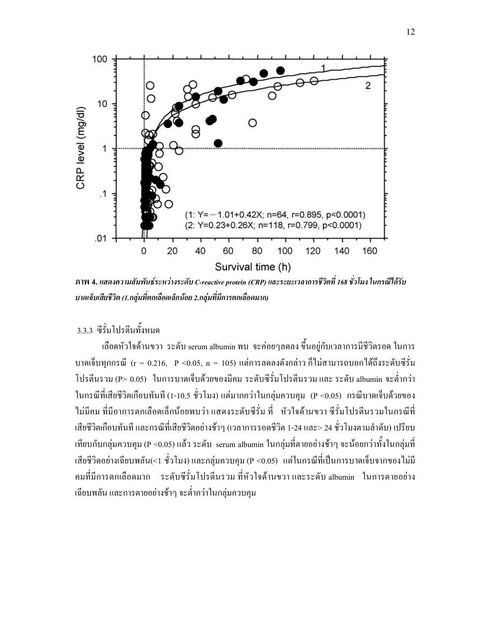

ภาพ 4. แสดงความสัมพันธ์ระหว่างระดับ C-reactive protein (CRP) และระยะเวลาการชีวิตที่ 168 ชั่วโมง ในกรณีได้รับ  $\ddot{\phantom{0}}$ บาดเจ็บเสียชีวิต (1.กลุ่มที่ตกเลือดเล็กน้อย 2.กลุ่มที่มีการตกเลือดมาก)

# 3.3.3 ซีรั่มโปรตีนทั้งหมด

เลือดหัวใจด้านขวา ระดับ serum albumin พบ จะก่อยๆลดลง ขึ้นอยู่กับเวลาการมีชีวิตรอด ในการ บาคเจ็บทุกกรณี (r = 0.216, P <0.05, n = 105) แต่การลดลงดังกล่าว ก็ไม่สามารถบอกได้ถึงระดับซีรั่ม โปรตีนรวม (P> 0.05) ในการบาคเจ็บด้วยของมีคม ระดับซีรั่มโปรตีนรวม และ ระดับ albumin จะต่ำกว่า ในกรณีที่เสียชีวิตเกือบทันที (1-10.5 ชั่วโมง) แต่มากกว่าในกลุ่มควบคุม (P <0.05) กรณีบาดเจ็บด้วยของ ใม่มีคม ที่มีอาการตกเลือดเล็กน้อยพบว่า แสดงระดับซีรั่ม ที่ หัวใจด้านขวา ซีรั่มโปรตีนรวมในกรณีที่ เสียชีวิตเกือบทันที และกรณีที่เสียชีวิตอย่างช้าๆ (เวลาการรอคชีวิต 1-24 และ> 24 ชั่วโมงตามลำคับ) เปรียบ เทียบกับกลุ่มควบคุม (P <0.05) แล้ว ระดับ serum albumin ในกลุ่มที่ตายอย่างช้าๆ จะน้อยกว่าทั้งในกลุ่มที่ เสียชีวิตอย่างเฉียบพลัน(<1 ชั่วโมง) และกลุ่มควบคุม (P <0.05) แต่ในกรณีที่เป็นการบาดเจ็บจากของไม่มี คมที่มีการตกเลือดมาก ระดับซีรั่มโปรตีนรวม ที่หัวใจด้านขวา และระดับ albumin ในการตายอย่าง เฉียบพลัน และการตายอย่างช้าๆ จะต่ำกว่าในกลุ่มควบคุม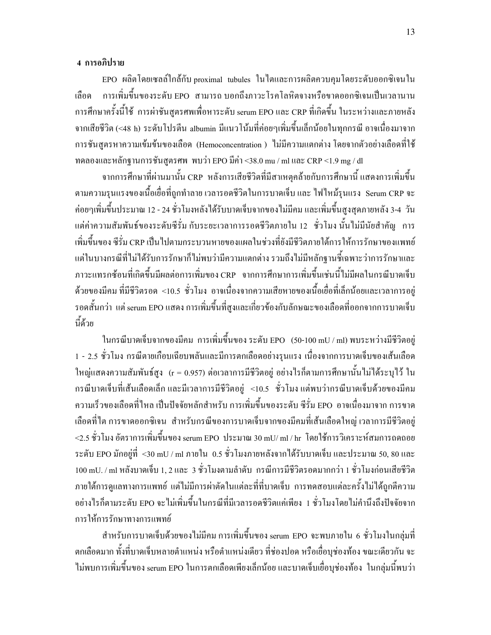### 4 การอภิปราย

 $_{\rm EPO}$  ผลิตโคยเซลล์ใกล้กับ proximal tubules ในไตและการผลิตกวบกุมโคยระดับออกซิเจนใน เลือด รเพิ่มขึ้นของระดับ EPO สามารถ บอกถึงภาวะโรคโลหิตจางหรือขาดออกซิเจนเป็นเวลานาน การศึกษาครั้งนี้ใช้ การผ่าชันสูตรศพเพื่อหาระดับ serum EPO และ CRP ที่เกิดขึ้น ในระหว่างและภายหลัง จากเสียชีวิต (<48 h) ระดับโปรตีน albumin มีแนวโน้มที่ก่อยๆเพิ่มขึ้นเล็กน้อยในทุกกรณี อาจเนื่องมาจาก การชันสูตรหาความเข้มข้นของเลือด (Hemoconcentration ) "ไม่มีความแตกต่าง โดยจากตัวอย่างเลือดที่ใช้ ทคลองและหลักฐานการชันสูตรศพ พบว่า EPO มีก่า <38.0 mu / ml และ CRP <1.9 mg / dl

จากการศึกษาที่ผ่านมานั้น CRP หลังการเสียชีวิตที่มีสาเหตุคล้ายกับการศึกษานี้ แสดงการเพิ่มขึ้น ตามความรุนแรงของเนื้อเยื่อที่ถูกทำลาย เวลารอดชีวิตในการบาดเจ็บ และ ไฟใหม้รุนแรง Serum CRP จะ ก่อยๆเพิ่มขึ้นประมาณ 12 - 24 ชั่วโมงหลังใด้รับบาดเจีบจากของใม่มีคม และเพิ่มขึ้นสูงสุดภายหลัง 3-4 วัน แต่ค่าความสัมพันธ์ของระดับซีรั่ม กับระยะเวลาการรอดชีวิตภายใน 12 ชั่วโมง นั้นไม่มีนัยสำคัญ การ เพิ่มขึ้นของ ซีรั่ม CRP เป็นไปตามกระบวนหายของแผลในช่วงที่ยังมีชีวิตภายใต้การให้การรักษาของแพทย์ แต่ในบางกรณีที่ไม่ได้รับการรักษาก็ไม่พบว่ามีความแตกต่าง รวมถึงไม่มีหลักฐานชี้เฉพาะว่าการรักษาและ ภาวะแทรกซ้อนที่เกิดขึ้นมีผลต่อการเพิ่มของ CRP จากการศึกษาการเพิ่มขึ้นเช่นนี้ไม่มีผลในกรณีบาดเจีบ ด้วยของมีคม ที่มีชีวิตรอด <10.5 ชั่วโมง อาจเนื่องจากความเสียหายของเนื้อเยื่อที่เล็กน้อยและเวลาการอยู่ รอคสั้นกว่า แต่ serum EPO แสดง การเพิ่มขึ้นที่สูงและเกี่ยวข้องกับลักษณะของเลือดที่ออกจากการบาดเจ็บ นี้ด้วย

ในกรณีบาคเจ็บจากของมีคม การเพิ่มขึ้นของ ระดับ EPO (50-100 mU / ml) พบระหว่างมีชีวิตอยู่ 1 - 2.5 ชั่วโมง กรณีตายเกือบเฉียบพลันและมีการตกเลือดอย่างรุนแรง เนื่องจากการบาดเจ็บของเส้นเลือด ใหญ่แสดงความสัมพันธ์สูง (r = 0.957) ต่อเวลาการมีชีวิตอยู่ อย่างไรก็ตามการศึกษานั้นไม่ได้ระบุไว้ ใน  6(" !"C(-! (  (1(2 <10.5 1+# "  6(" !" ( ความเร็วของเลือดที่ไหล เป็นปัจจัยหลักสำหรับ การเพิ่มขึ้นของระดับ ซีรั่ม EPO อาจเนื่องมาจาก การขาด C(
  % -= +" 6( " !"  ( C(-  (1(2  $<$ 2.5 ชั่วโมง อัตราการเพิ่มขึ้นของ serum EPO ประมาณ 30 mU/ ml / hr โดยใช้การวิเคราะห์สมการถดถอย  $\,$ ระดับ EPO มักอยู่ที่ <30 mU / ml ภายใน 0.5 ชั่วโมงภายหลังจากใด้รับบาดเจ็บ และประมาณ 50, 80 และ 100 mU. / ml หลังบาดเจ็บ 1, 2 และ 3 ชั่วโมงตามลำดับ กรณีการมีชีวิตรอดมากกว่า 1 ชั่วโมงก่อนเสียชีวิต ภายใต้การดูแลทางการแพทย์ แต่ไม่มีการผ่าตัดในแต่ละที่ที่บาดเจ็บ การทดสอบแต่ละครั้งไม่ได้ถูกตีความ อย่างไรก็ตามระดับ EPO จะไม่เพิ่มขึ้นในกรณีที่มีเวลารอดชีวิตแค่เพียง 1 ชั่วโมงโดยไม่คำนึงถึงปัจจัยจาก การให้การรักษาทางการแพทย์

สำหรับการบาดเจ็บด้วยของไม่มีคม การเพิ่มขึ้นของ serum EPO จะพบภายใน 6 ชั่วโมงในกลุ่มที่ ตกเลือดมาก ทั้งที่บาดเจ็บหลายตำแหน่ง หรือตำแหน่งเดียว ที่ช่องปอด หรือเยื่อบุช่องท้อง ขณะเดียวกัน จะ ไม่พบการเพิ่มขึ้นของ serum EPO ในการตกเลือดเพียงเล็กน้อย และบาดเจ็บเยื่อบุช่องท้อง ในกลุ่มนี้พบว่า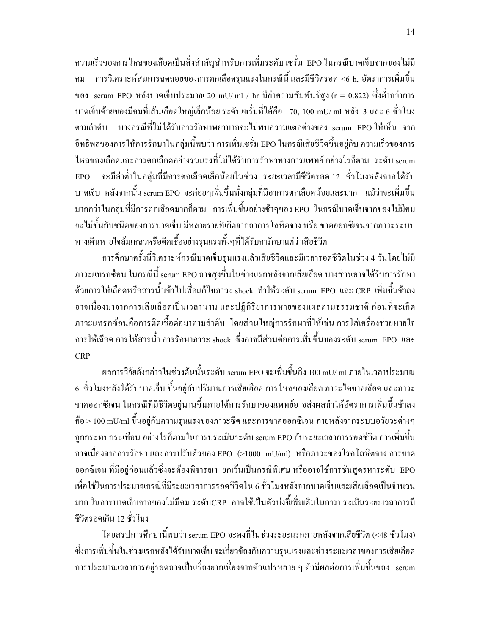ความเร็วของการไหลของเลือดเป็นสิ่งสำคัญสำหรับการเพิ่มระดับ เซรั่ม EPO ในกรณีบาดเจ็บจากของไม่มี คม การวิเคราะห์สมการถคถอยของการตกเลือครุนแรงในกรณีนี้ และมีชีวิตรอค <6 h, อัตราการเพิ่มขึ้น ของ serum EPO หลังบาดเจ็บประมาณ 20 mU/ ml / hr มีค่าความสัมพันธ์สูง (r = 0.822) ซึ่งต่ำกว่าการ บาดเจ็บด้วยของมีคมที่เส้นเลือดใหญ่เล็กน้อย ระดับเซรั่มที่ได้คือ 70, 100 mU/ ml หลัง 3 และ 6 ชั่วโมง ตามลำดับ บางกรณีที่ไม่ได้รับการรักษาพยาบาลจะไม่พบความแตกต่างของ serum EPO ให้เห็น จาก อิทธิพลของการให้การรักษาในกลุ่มนี้พบว่า การเพิ่มเซรั่ม EPO ในกรณีเสียชีวิตขึ้นอยู่กับ ความเร็วของการ ไหลของเลือดและการตกเลือดอย่างรุนแรงที่ไม่ได้รับการรักษาทางการแพทย์ อย่างไรก็ตาม ระดับ serum EPO จะมีค่าต่ำในกลุ่มที่มีการตกเลือดเล็กน้อยในช่วง ระยะเวลามีชีวิตรอด 12 ชั่วโมงหลังจากใด้รับ บาคเจ็บ หลังจากนั้น serum EPO จะค่อยๆเพิ่มขึ้นทั้งกลุ่มที่มีอาการตกเลือดน้อยและมาก แม้ว่าจะเพิ่มขึ้น มากกว่าในกลุ่มที่มีการตกเลือดมากกีตาม การเพิ่มขึ้นอย่างช้าๆของ EPO ในกรณีบาดเจ็บจากของไม่มีคม จะ ไม่ขึ้นกับชนิดของการบาดเจ็บ มีหลายรายที่เกิดจากอาการโลหิตจาง หรือ ขาดออกซิเจนจากภาวะระบบ ทางเดินหายใจล้มเหลวหรือติดเชื้ออย่างรุนแรงทั้งๆที่ได้รับการักษาแต่ว่าเสียชีวิต

การศึกษาครั้งนี้วิเคราะห์กรณีบาดเจ็บรุนแรงแล้วเสียชีวิตและมีเวลารอดชีวิตในช่วง 4 วันโดยไม่มี ภาวะแทรกซ้อน ในกรณีนี้ serum EPO อาจสูงขึ้นในช่วงแรกหลังจากเสียเลือด บางส่วนอาจได้รับการรักษา ด้วยการให้เลือดหรือสารน้ำเข้าไปเพื่อแก้ไขภาวะ shock ทำให้ระดับ serum EPO และ CRP เพิ่มขึ้นช้าลง อาจเนื่องมาจากการเสียเลือดเป็นเวลานาน และปฏิกิริยาการหายของแผลตามธรรมชาติ ก่อนที่จะเกิด ภาวะแทรกซ้อนคือการติดเชื้อต่อมาตามลำดับ โดยส่วนใหญ่การรักษาที่ให้เช่น การใส่เครื่องช่วยหายใจ การให้เลือด การให้สารน้ำ การรักษาภาวะ shock ซึ่งอาจมีส่วนต่อการเพิ่มขึ้นของระดับ serum EPO และ . CRP

ผลการวิจัยดังกล่าวในช่วงต้นนั้นระดับ serum EPO จะเพิ่มขึ้นถึง 100 mU/ ml ภายในเวลาประมาณ 6 ชั่วโมงหลังใค้รับบาคเจ็บ ขึ้นอยู่กับปริมาณการเสียเลือค การใหลของเลือค ภาวะใตขาคเลือค และภาวะ ขาคออกซิเจน ในกรณีที่มีชีวิตอยู่นานขึ้นภายใต้การรักษาของแพทย์อาจส่งผลทำให้อัตราการเพิ่มขึ้นช้าลง คือ > 100 mU/ml ขึ้นอยู่กับความรุนแรงของภาวะซีด และการขาดออกซิเจน ภายหลังจากระบบอวัยวะต่างๆ ถูกกระทบกระเทือน อย่างไรก็ตามในการประเมินระคับ serum EPO กับระยะเวลาการรอคชีวิต การเพิ่มขึ้น อาจเนื่องจากการรักษา และการปรับตัวของ EPO (>1000 mU/ml) หรือภาวะของโรคโลหิตจาง การขาด ออกซิเจน ที่มีอยู่ก่อนแล้วซึ่งจะต้องพิจารณา ยกเว้นเป็นกรณีพิเศษ หรืออาจใช้การชันสูตรหาระดับ EPO เพื่อใช้ในการประมาณกรณีที่มีระยะเวลาการรอคชีวิตใน 6 ชั่วโมงหลังจากบาคเจ็บและเสียเลือคเป็นจำนวน มาก ในการบาคเจ็บจากของใม่มีคม ระดับCRP อาจใช้เป็นตัวบ่งชี้เพิ่มเติมในการประเมินระยะเวลาการมี ชีวิตรอดเกิน 12 ชั่วโมง

โดยสรุปการศึกษานี้พบว่า serum EPO จะคงที่ในช่วงระยะแรกภายหลังจากเสียชีวิต (<48 ชัวโมง) ซึ่งการเพิ่มขึ้นในช่วงแรกหลังได้รับบาดเจ็บ จะเกี่ยวข้องกับความรุนแรงและช่วงระยะเวลาของการเสียเลือด การประมาณเวลาการอยู่รอคอาจเป็นเรื่องยากเนื่องจากตัวแปรหลาย ๆ ตัวมีผลต่อการเพิ่มขึ้นของ serum